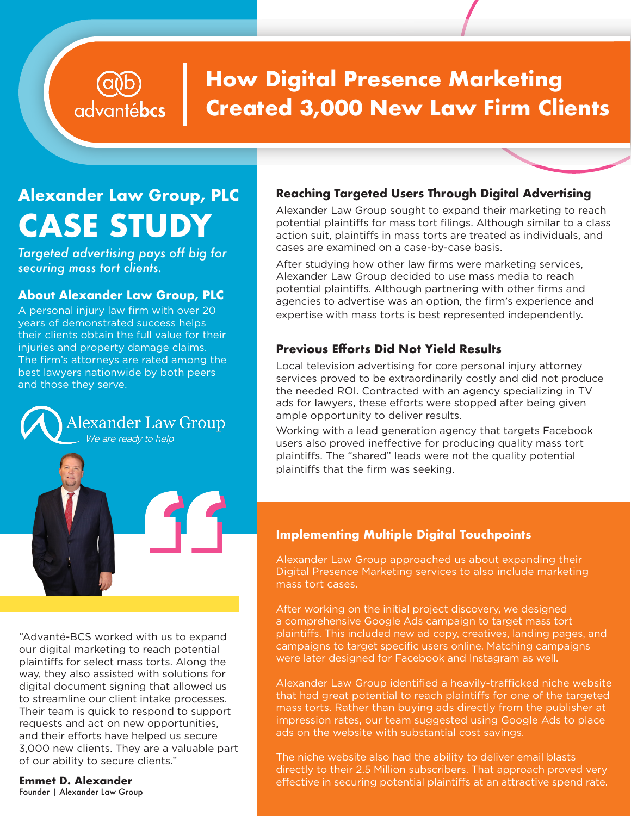## **How Digital Presence Marketing Created 3,000 New Law Firm Clients**

# **Alexander Law Group, PLC CASE STUDY**

advantébcs

*Targeted advertising pays off big for securing mass tort clients.*

### **About Alexander Law Group, PLC**

A personal injury law firm with over 20 years of demonstrated success helps their clients obtain the full value for their injuries and property damage claims. The firm's attorneys are rated among the best lawyers nationwide by both peers and those they serve.



"Advanté-BCS worked with us to expand our digital marketing to reach potential plaintiffs for select mass torts. Along the way, they also assisted with solutions for digital document signing that allowed us to streamline our client intake processes. Their team is quick to respond to support requests and act on new opportunities, and their efforts have helped us secure 3,000 new clients. They are a valuable part of our ability to secure clients."

**Emmet D. Alexander** Founder | Alexander Law Group

## **Reaching Targeted Users Through Digital Advertising**

Alexander Law Group sought to expand their marketing to reach potential plaintiffs for mass tort filings. Although similar to a class action suit, plaintiffs in mass torts are treated as individuals, and cases are examined on a case-by-case basis.

After studying how other law firms were marketing services, Alexander Law Group decided to use mass media to reach potential plaintiffs. Although partnering with other firms and agencies to advertise was an option, the firm's experience and expertise with mass torts is best represented independently.

## **Previous Efforts Did Not Yield Results**

Local television advertising for core personal injury attorney services proved to be extraordinarily costly and did not produce the needed ROI. Contracted with an agency specializing in TV ads for lawyers, these efforts were stopped after being given ample opportunity to deliver results.

Working with a lead generation agency that targets Facebook users also proved ineffective for producing quality mass tort plaintiffs. The "shared" leads were not the quality potential plaintiffs that the firm was seeking.

## **Implementing Multiple Digital Touchpoints**

Alexander Law Group approached us about expanding their Digital Presence Marketing services to also include marketing mass tort cases.

After working on the initial project discovery, we designed a comprehensive Google Ads campaign to target mass tort plaintiffs. This included new ad copy, creatives, landing pages, and campaigns to target specific users online. Matching campaigns were later designed for Facebook and Instagram as well.

Alexander Law Group identified a heavily-trafficked niche website that had great potential to reach plaintiffs for one of the targeted mass torts. Rather than buying ads directly from the publisher at impression rates, our team suggested using Google Ads to place ads on the website with substantial cost savings.

The niche website also had the ability to deliver email blasts directly to their 2.5 Million subscribers. That approach proved very effective in securing potential plaintiffs at an attractive spend rate.